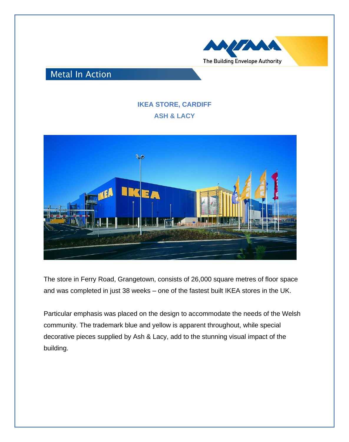

## **Metal In Action**

## **IKEA STORE, CARDIFF ASH & LACY**



The store in Ferry Road, Grangetown, consists of 26,000 square metres of floor space and was completed in just 38 weeks – one of the fastest built IKEA stores in the UK.

Particular emphasis was placed on the design to accommodate the needs of the Welsh community. The trademark blue and yellow is apparent throughout, while special decorative pieces supplied by Ash & Lacy, add to the stunning visual impact of the building.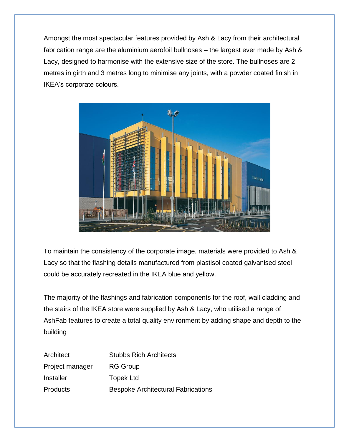Amongst the most spectacular features provided by Ash & Lacy from their architectural fabrication range are the aluminium aerofoil bullnoses – the largest ever made by Ash & Lacy, designed to harmonise with the extensive size of the store. The bullnoses are 2 metres in girth and 3 metres long to minimise any joints, with a powder coated finish in IKEA's corporate colours.



To maintain the consistency of the corporate image, materials were provided to Ash & Lacy so that the flashing details manufactured from plastisol coated galvanised steel could be accurately recreated in the IKEA blue and yellow.

The majority of the flashings and fabrication components for the roof, wall cladding and the stairs of the IKEA store were supplied by Ash & Lacy, who utilised a range of AshFab features to create a total quality environment by adding shape and depth to the building

| Architect       | <b>Stubbs Rich Architects</b>             |
|-----------------|-------------------------------------------|
| Project manager | <b>RG Group</b>                           |
| Installer       | <b>Topek Ltd</b>                          |
| Products        | <b>Bespoke Architectural Fabrications</b> |